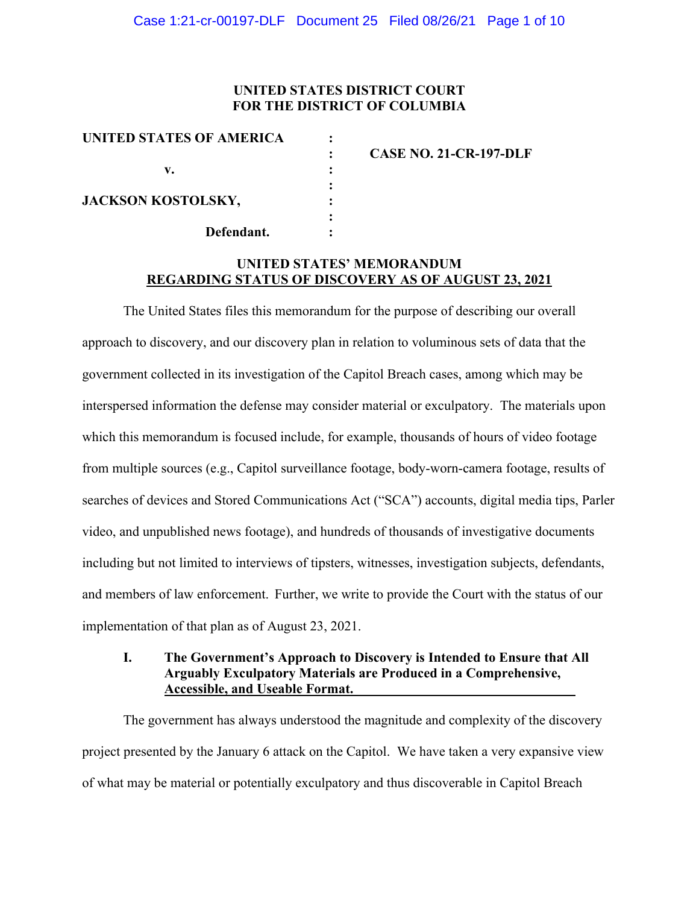# **UNITED STATES DISTRICT COURT FOR THE DISTRICT OF COLUMBIA**

| <b>CASE NO. 21-CR-197-DLF</b> |
|-------------------------------|
|                               |
|                               |
|                               |
|                               |

# **UNITED STATES' MEMORANDUM REGARDING STATUS OF DISCOVERY AS OF AUGUST 23, 2021**

The United States files this memorandum for the purpose of describing our overall approach to discovery, and our discovery plan in relation to voluminous sets of data that the government collected in its investigation of the Capitol Breach cases, among which may be interspersed information the defense may consider material or exculpatory. The materials upon which this memorandum is focused include, for example, thousands of hours of video footage from multiple sources (e.g., Capitol surveillance footage, body-worn-camera footage, results of searches of devices and Stored Communications Act ("SCA") accounts, digital media tips, Parler video, and unpublished news footage), and hundreds of thousands of investigative documents including but not limited to interviews of tipsters, witnesses, investigation subjects, defendants, and members of law enforcement. Further, we write to provide the Court with the status of our implementation of that plan as of August 23, 2021.

## **I. The Government's Approach to Discovery is Intended to Ensure that All Arguably Exculpatory Materials are Produced in a Comprehensive, Accessible, and Useable Format.**

The government has always understood the magnitude and complexity of the discovery project presented by the January 6 attack on the Capitol. We have taken a very expansive view of what may be material or potentially exculpatory and thus discoverable in Capitol Breach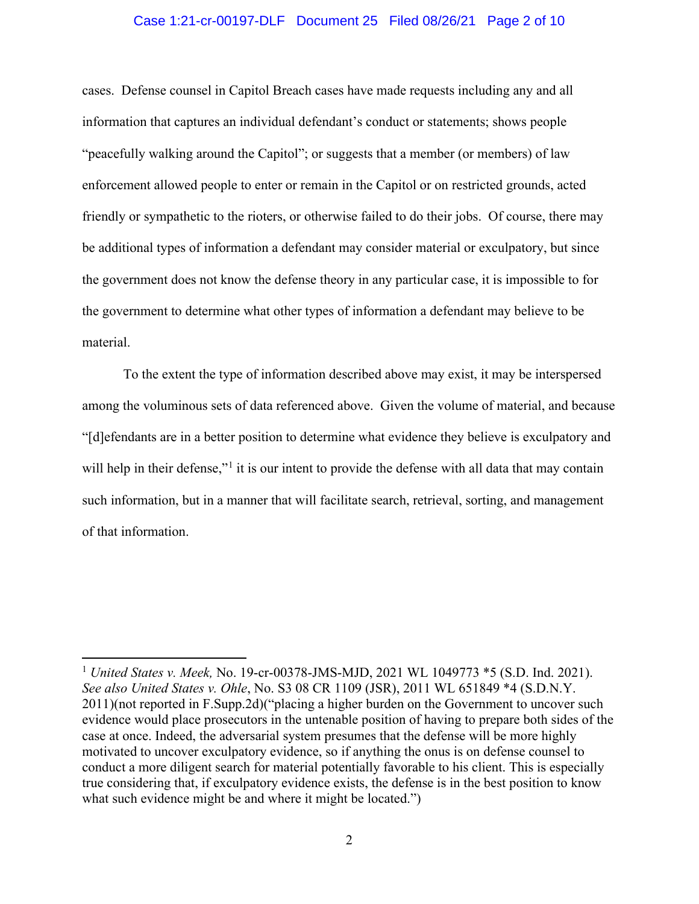#### Case 1:21-cr-00197-DLF Document 25 Filed 08/26/21 Page 2 of 10

cases. Defense counsel in Capitol Breach cases have made requests including any and all information that captures an individual defendant's conduct or statements; shows people "peacefully walking around the Capitol"; or suggests that a member (or members) of law enforcement allowed people to enter or remain in the Capitol or on restricted grounds, acted friendly or sympathetic to the rioters, or otherwise failed to do their jobs. Of course, there may be additional types of information a defendant may consider material or exculpatory, but since the government does not know the defense theory in any particular case, it is impossible to for the government to determine what other types of information a defendant may believe to be material.

To the extent the type of information described above may exist, it may be interspersed among the voluminous sets of data referenced above. Given the volume of material, and because "[d]efendants are in a better position to determine what evidence they believe is exculpatory and will help in their defense,"<sup>1</sup> it is our intent to provide the defense with all data that may contain such information, but in a manner that will facilitate search, retrieval, sorting, and management of that information.

<sup>1</sup> *United States v. Meek,* No. 19-cr-00378-JMS-MJD, 2021 WL 1049773 \*5 (S.D. Ind. 2021). *See also United States v. Ohle*, No. S3 08 CR 1109 (JSR), 2011 WL 651849 \*4 (S.D.N.Y. 2011)(not reported in F.Supp.2d)("placing a higher burden on the Government to uncover such evidence would place prosecutors in the untenable position of having to prepare both sides of the case at once. Indeed, the adversarial system presumes that the defense will be more highly motivated to uncover exculpatory evidence, so if anything the onus is on defense counsel to conduct a more diligent search for material potentially favorable to his client. This is especially true considering that, if exculpatory evidence exists, the defense is in the best position to know what such evidence might be and where it might be located.")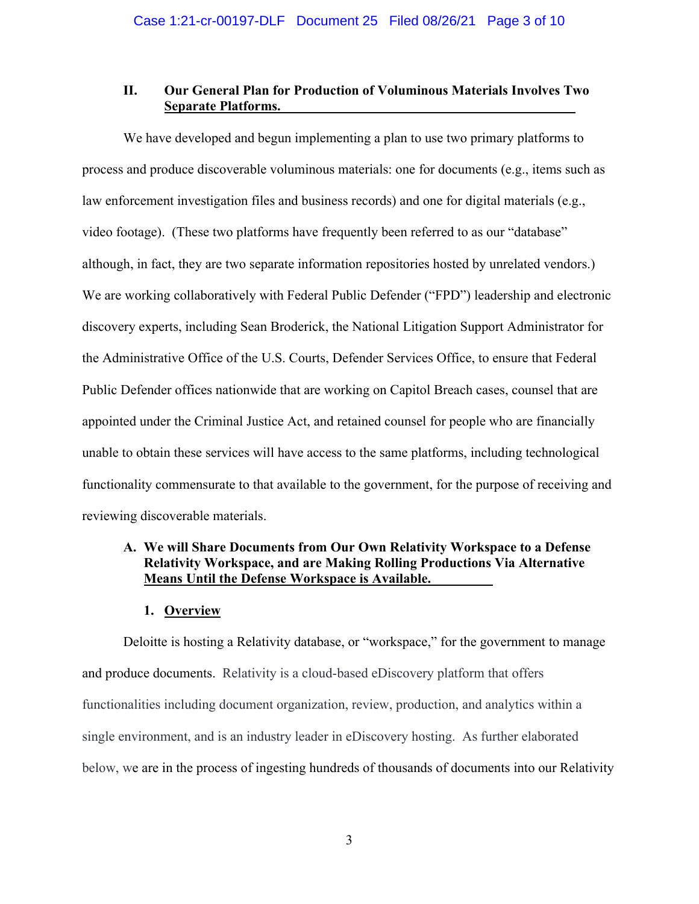## **II. Our General Plan for Production of Voluminous Materials Involves Two Separate Platforms.**

We have developed and begun implementing a plan to use two primary platforms to process and produce discoverable voluminous materials: one for documents (e.g., items such as law enforcement investigation files and business records) and one for digital materials (e.g., video footage). (These two platforms have frequently been referred to as our "database" although, in fact, they are two separate information repositories hosted by unrelated vendors.) We are working collaboratively with Federal Public Defender ("FPD") leadership and electronic discovery experts, including Sean Broderick, the National Litigation Support Administrator for the Administrative Office of the U.S. Courts, Defender Services Office, to ensure that Federal Public Defender offices nationwide that are working on Capitol Breach cases, counsel that are appointed under the Criminal Justice Act, and retained counsel for people who are financially unable to obtain these services will have access to the same platforms, including technological functionality commensurate to that available to the government, for the purpose of receiving and reviewing discoverable materials.

# **A. We will Share Documents from Our Own Relativity Workspace to a Defense Relativity Workspace, and are Making Rolling Productions Via Alternative Means Until the Defense Workspace is Available.**

## **1. Overview**

Deloitte is hosting a Relativity database, or "workspace," for the government to manage and produce documents. Relativity is a cloud-based eDiscovery platform that offers functionalities including document organization, review, production, and analytics within a single environment, and is an industry leader in eDiscovery hosting. As further elaborated below, we are in the process of ingesting hundreds of thousands of documents into our Relativity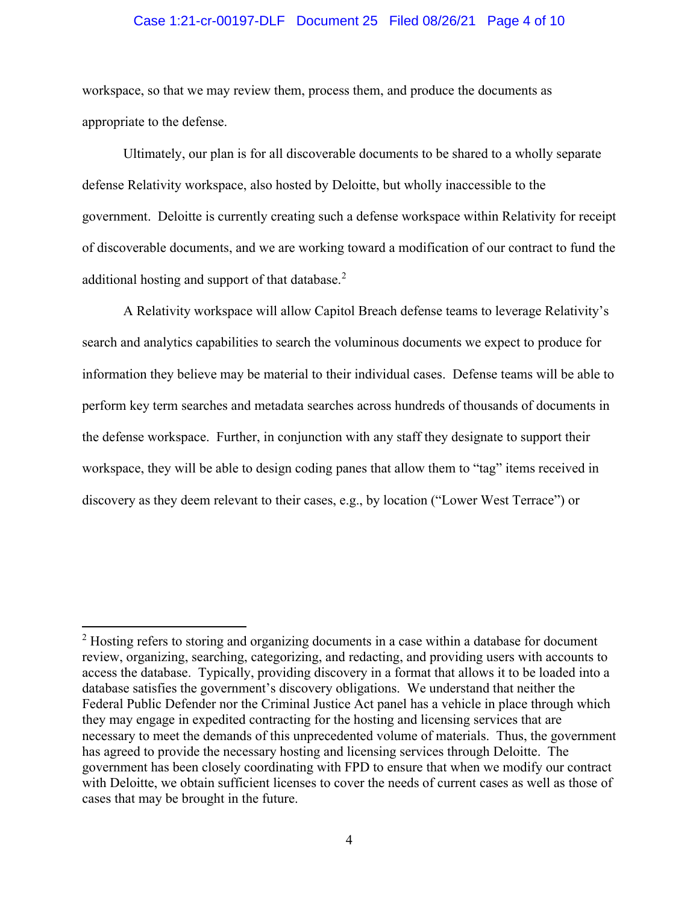#### Case 1:21-cr-00197-DLF Document 25 Filed 08/26/21 Page 4 of 10

workspace, so that we may review them, process them, and produce the documents as appropriate to the defense.

Ultimately, our plan is for all discoverable documents to be shared to a wholly separate defense Relativity workspace, also hosted by Deloitte, but wholly inaccessible to the government. Deloitte is currently creating such a defense workspace within Relativity for receipt of discoverable documents, and we are working toward a modification of our contract to fund the additional hosting and support of that database.<sup>2</sup>

A Relativity workspace will allow Capitol Breach defense teams to leverage Relativity's search and analytics capabilities to search the voluminous documents we expect to produce for information they believe may be material to their individual cases. Defense teams will be able to perform key term searches and metadata searches across hundreds of thousands of documents in the defense workspace. Further, in conjunction with any staff they designate to support their workspace, they will be able to design coding panes that allow them to "tag" items received in discovery as they deem relevant to their cases, e.g., by location ("Lower West Terrace") or

 $2$  Hosting refers to storing and organizing documents in a case within a database for document review, organizing, searching, categorizing, and redacting, and providing users with accounts to access the database. Typically, providing discovery in a format that allows it to be loaded into a database satisfies the government's discovery obligations. We understand that neither the Federal Public Defender nor the Criminal Justice Act panel has a vehicle in place through which they may engage in expedited contracting for the hosting and licensing services that are necessary to meet the demands of this unprecedented volume of materials. Thus, the government has agreed to provide the necessary hosting and licensing services through Deloitte. The government has been closely coordinating with FPD to ensure that when we modify our contract with Deloitte, we obtain sufficient licenses to cover the needs of current cases as well as those of cases that may be brought in the future.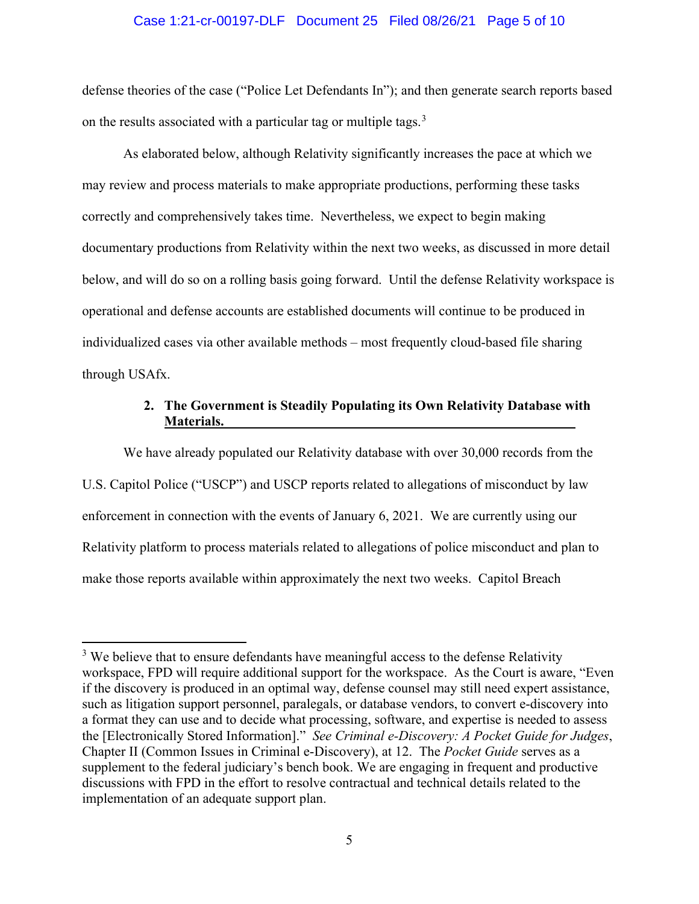#### Case 1:21-cr-00197-DLF Document 25 Filed 08/26/21 Page 5 of 10

defense theories of the case ("Police Let Defendants In"); and then generate search reports based on the results associated with a particular tag or multiple tags.<sup>3</sup>

As elaborated below, although Relativity significantly increases the pace at which we may review and process materials to make appropriate productions, performing these tasks correctly and comprehensively takes time. Nevertheless, we expect to begin making documentary productions from Relativity within the next two weeks, as discussed in more detail below, and will do so on a rolling basis going forward. Until the defense Relativity workspace is operational and defense accounts are established documents will continue to be produced in individualized cases via other available methods – most frequently cloud-based file sharing through USAfx.

# **2. The Government is Steadily Populating its Own Relativity Database with Materials.**

We have already populated our Relativity database with over 30,000 records from the U.S. Capitol Police ("USCP") and USCP reports related to allegations of misconduct by law enforcement in connection with the events of January 6, 2021. We are currently using our Relativity platform to process materials related to allegations of police misconduct and plan to make those reports available within approximately the next two weeks. Capitol Breach

<sup>&</sup>lt;sup>3</sup> We believe that to ensure defendants have meaningful access to the defense Relativity workspace, FPD will require additional support for the workspace. As the Court is aware, "Even if the discovery is produced in an optimal way, defense counsel may still need expert assistance, such as litigation support personnel, paralegals, or database vendors, to convert e-discovery into a format they can use and to decide what processing, software, and expertise is needed to assess the [Electronically Stored Information]." *See Criminal e-Discovery: A Pocket Guide for Judges*, Chapter II (Common Issues in Criminal e-Discovery), at 12.The *Pocket Guide* serves as a supplement to the federal judiciary's bench book. We are engaging in frequent and productive discussions with FPD in the effort to resolve contractual and technical details related to the implementation of an adequate support plan.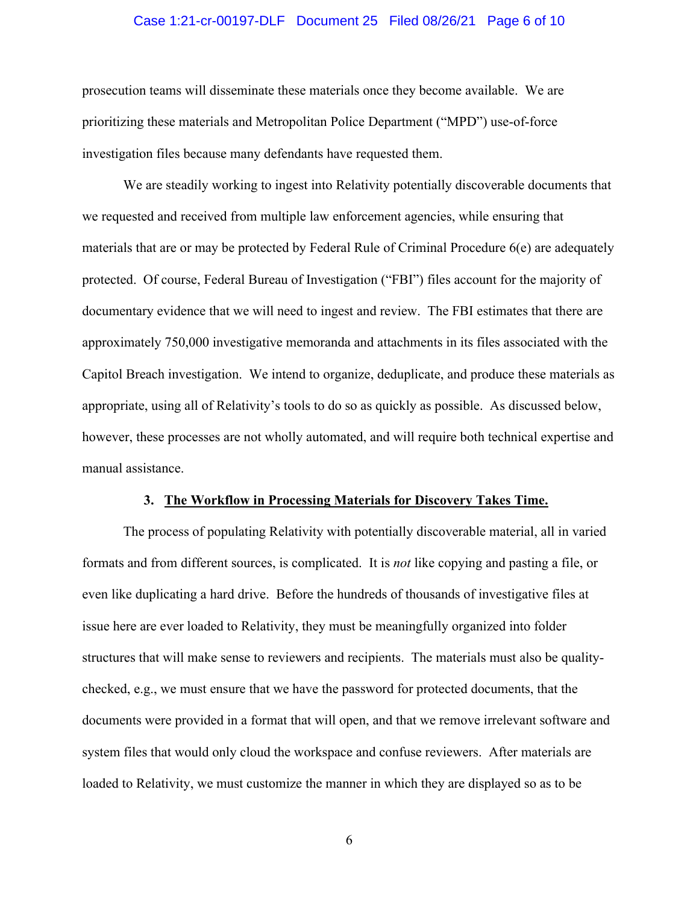#### Case 1:21-cr-00197-DLF Document 25 Filed 08/26/21 Page 6 of 10

prosecution teams will disseminate these materials once they become available. We are prioritizing these materials and Metropolitan Police Department ("MPD") use-of-force investigation files because many defendants have requested them.

We are steadily working to ingest into Relativity potentially discoverable documents that we requested and received from multiple law enforcement agencies, while ensuring that materials that are or may be protected by Federal Rule of Criminal Procedure 6(e) are adequately protected. Of course, Federal Bureau of Investigation ("FBI") files account for the majority of documentary evidence that we will need to ingest and review. The FBI estimates that there are approximately 750,000 investigative memoranda and attachments in its files associated with the Capitol Breach investigation. We intend to organize, deduplicate, and produce these materials as appropriate, using all of Relativity's tools to do so as quickly as possible. As discussed below, however, these processes are not wholly automated, and will require both technical expertise and manual assistance.

#### **3. The Workflow in Processing Materials for Discovery Takes Time.**

The process of populating Relativity with potentially discoverable material, all in varied formats and from different sources, is complicated. It is *not* like copying and pasting a file, or even like duplicating a hard drive. Before the hundreds of thousands of investigative files at issue here are ever loaded to Relativity, they must be meaningfully organized into folder structures that will make sense to reviewers and recipients. The materials must also be qualitychecked, e.g., we must ensure that we have the password for protected documents, that the documents were provided in a format that will open, and that we remove irrelevant software and system files that would only cloud the workspace and confuse reviewers. After materials are loaded to Relativity, we must customize the manner in which they are displayed so as to be

6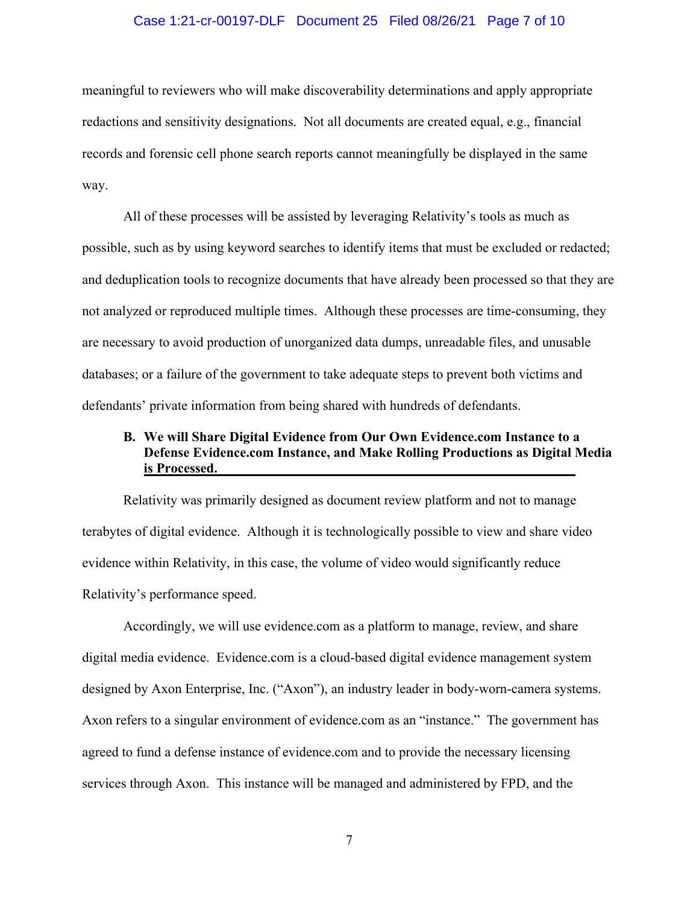#### Case 1:21-cr-00197-DLF Document 25 Filed 08/26/21 Page 7 of 10

meaningful to reviewers who will make discoverability determinations and apply appropriate redactions and sensitivity designations. Not all documents are created equal, e.g., financial records and forensic cell phone search reports cannot meaningfully be displayed in the same way.

All of these processes will be assisted by leveraging Relativity's tools as much as possible, such as by using keyword searches to identify items that must be excluded or redacted; and deduplication tools to recognize documents that have already been processed so that they are not analyzed or reproduced multiple times. Although these processes are time-consuming, they are necessary to avoid production of unorganized data dumps, unreadable files, and unusable databases; or a failure of the government to take adequate steps to prevent both victims and defendants' private information from being shared with hundreds of defendants.

# **B. We will Share Digital Evidence from Our Own Evidence.com Instance to a Defense Evidence.com Instance, and Make Rolling Productions as Digital Media is Processed.**

Relativity was primarily designed as document review platform and not to manage terabytes of digital evidence. Although it is technologically possible to view and share video evidence within Relativity, in this case, the volume of video would significantly reduce Relativity's performance speed.

Accordingly, we will use evidence.com as a platform to manage, review, and share digital media evidence. Evidence.com is a cloud-based digital evidence management system designed by Axon Enterprise, Inc. ("Axon"), an industry leader in body-worn-camera systems. Axon refers to a singular environment of evidence.com as an "instance." The government has agreed to fund a defense instance of evidence.com and to provide the necessary licensing services through Axon. This instance will be managed and administered by FPD, and the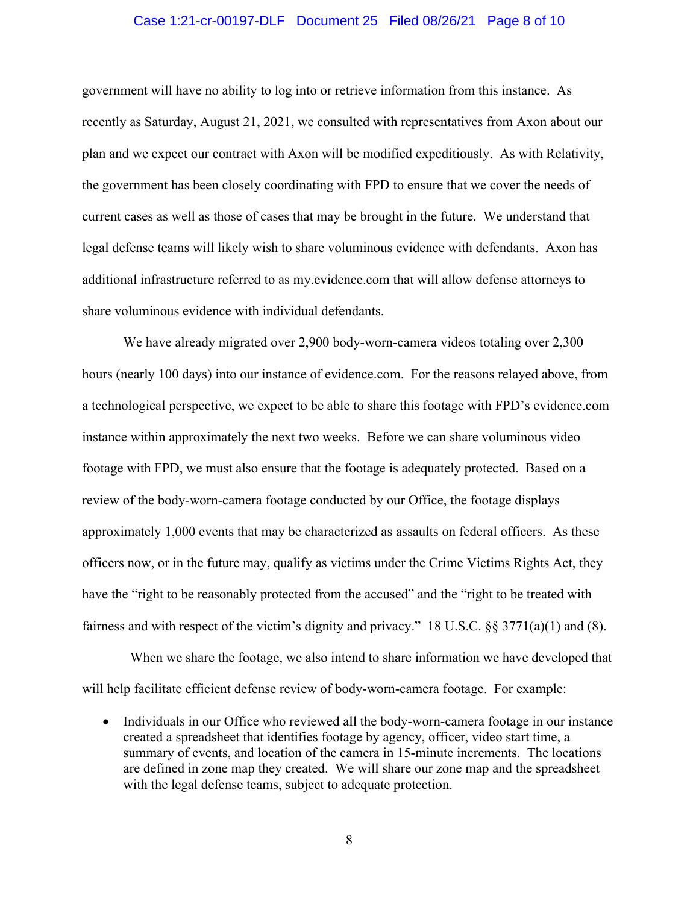#### Case 1:21-cr-00197-DLF Document 25 Filed 08/26/21 Page 8 of 10

government will have no ability to log into or retrieve information from this instance. As recently as Saturday, August 21, 2021, we consulted with representatives from Axon about our plan and we expect our contract with Axon will be modified expeditiously. As with Relativity, the government has been closely coordinating with FPD to ensure that we cover the needs of current cases as well as those of cases that may be brought in the future. We understand that legal defense teams will likely wish to share voluminous evidence with defendants. Axon has additional infrastructure referred to as my.evidence.com that will allow defense attorneys to share voluminous evidence with individual defendants.

We have already migrated over 2,900 body-worn-camera videos totaling over 2,300 hours (nearly 100 days) into our instance of evidence.com. For the reasons relayed above, from a technological perspective, we expect to be able to share this footage with FPD's evidence.com instance within approximately the next two weeks. Before we can share voluminous video footage with FPD, we must also ensure that the footage is adequately protected. Based on a review of the body-worn-camera footage conducted by our Office, the footage displays approximately 1,000 events that may be characterized as assaults on federal officers. As these officers now, or in the future may, qualify as victims under the Crime Victims Rights Act, they have the "right to be reasonably protected from the accused" and the "right to be treated with fairness and with respect of the victim's dignity and privacy." 18 U.S.C. §§ 3771(a)(1) and (8).

 When we share the footage, we also intend to share information we have developed that will help facilitate efficient defense review of body-worn-camera footage. For example:

• Individuals in our Office who reviewed all the body-worn-camera footage in our instance created a spreadsheet that identifies footage by agency, officer, video start time, a summary of events, and location of the camera in 15-minute increments. The locations are defined in zone map they created. We will share our zone map and the spreadsheet with the legal defense teams, subject to adequate protection.

8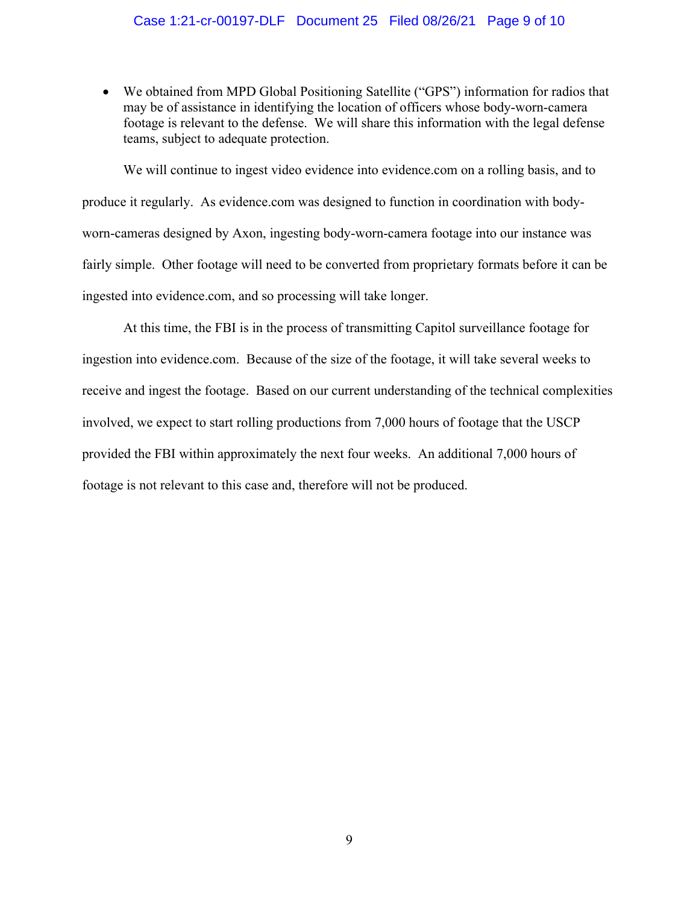## Case 1:21-cr-00197-DLF Document 25 Filed 08/26/21 Page 9 of 10

• We obtained from MPD Global Positioning Satellite ("GPS") information for radios that may be of assistance in identifying the location of officers whose body-worn-camera footage is relevant to the defense. We will share this information with the legal defense teams, subject to adequate protection.

We will continue to ingest video evidence into evidence.com on a rolling basis, and to produce it regularly. As evidence.com was designed to function in coordination with bodyworn-cameras designed by Axon, ingesting body-worn-camera footage into our instance was fairly simple. Other footage will need to be converted from proprietary formats before it can be ingested into evidence.com, and so processing will take longer.

At this time, the FBI is in the process of transmitting Capitol surveillance footage for ingestion into evidence.com. Because of the size of the footage, it will take several weeks to receive and ingest the footage. Based on our current understanding of the technical complexities involved, we expect to start rolling productions from 7,000 hours of footage that the USCP provided the FBI within approximately the next four weeks. An additional 7,000 hours of footage is not relevant to this case and, therefore will not be produced.